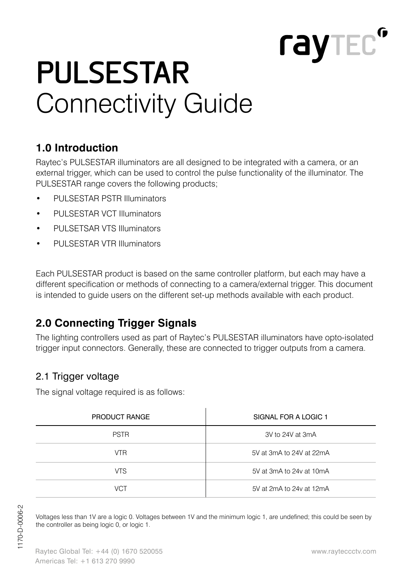# Connectivity Guide **PULSESTAR**

# **1.0 Introduction**

Raytec's PULSESTAR illuminators are all designed to be integrated with a camera, or an external trigger, which can be used to control the pulse functionality of the illuminator. The PULSESTAR range covers the following products;

- PULSESTAR PSTR Illuminators
- PULSESTAR VCT Illuminators
- PULSETSAR VTS Illuminators
- PULSESTAR VTR Illuminators

Each PULSESTAR product is based on the same controller platform, but each may have a different specification or methods of connecting to a camera/external trigger. This document is intended to guide users on the different set-up methods available with each product.

# **2.0 Connecting Trigger Signals**

The lighting controllers used as part of Raytec's PULSESTAR illuminators have opto-isolated trigger input connectors. Generally, these are connected to trigger outputs from a camera.

#### 2.1 Trigger voltage

The signal voltage required is as follows:

| PRODUCT RANGE | SIGNAL FOR A LOGIC 1     |
|---------------|--------------------------|
| <b>PSTR</b>   | 3V to 24V at 3mA         |
| <b>VTR</b>    | 5V at 3mA to 24V at 22mA |
| <b>VTS</b>    | 5V at 3mA to 24y at 10mA |
| <b>VCT</b>    | 5V at 2mA to 24y at 12mA |

Voltages less than 1V are a logic 0. Voltages between 1V and the minimum logic 1, are undefined; this could be seen by the controller as being logic 0, or logic 1.

rayted<sup>o</sup>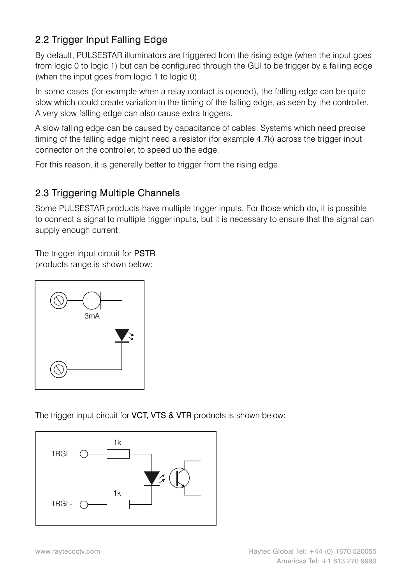#### 2.2 Trigger Input Falling Edge

By default, PULSESTAR illuminators are triggered from the rising edge (when the input goes from logic 0 to logic 1) but can be configured through the GUI to be trigger by a failing edge (when the input goes from logic 1 to logic 0).

In some cases (for example when a relay contact is opened), the falling edge can be quite slow which could create variation in the timing of the falling edge, as seen by the controller. A very slow falling edge can also cause extra triggers.

A slow falling edge can be caused by capacitance of cables. Systems which need precise timing of the falling edge might need a resistor (for example 4.7k) across the trigger input connector on the controller, to speed up the edge.

For this reason, it is generally better to trigger from the rising edge.

#### 2.3 Triggering Multiple Channels

Some PULSESTAR products have multiple trigger inputs. For those which do, it is possible to connect a signal to multiple trigger inputs, but it is necessary to ensure that the signal can supply enough current.

The trigger input circuit for PSTR products range is shown below:



The trigger input circuit for VCT, VTS & VTR products is shown below:

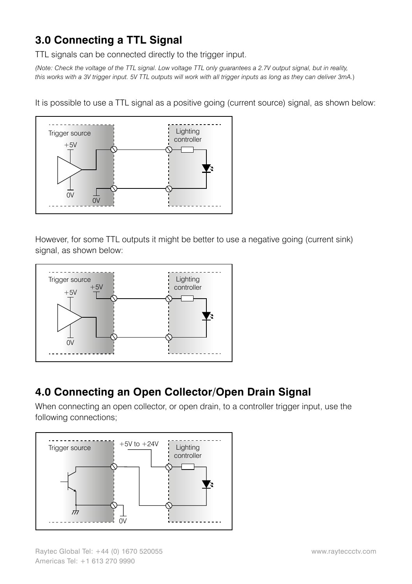### **3.0 Connecting a TTL Signal**

TTL signals can be connected directly to the trigger input.

*(Note: Check the voltage of the TTL signal. Low voltage TTL only guarantees a 2.7V output signal, but in reality, this works with a 3V trigger input. 5V TTL outputs will work with all trigger inputs as long as they can deliver 3mA.*)

It is possible to use a TTL signal as a positive going (current source) signal, as shown below:



However, for some TTL outputs it might be better to use a negative going (current sink) signal, as shown below:



#### **4.0 Connecting an Open Collector/Open Drain Signal**

When connecting an open collector, or open drain, to a controller trigger input, use the following connections;